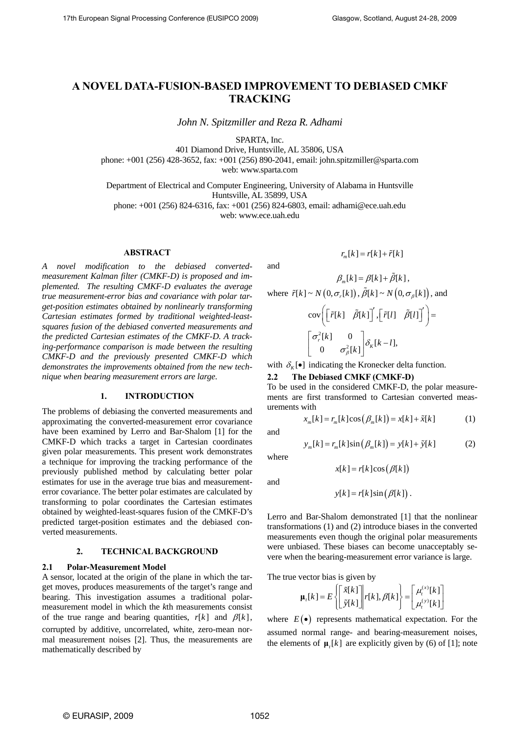# **A NOVEL DATA-FUSION-BASED IMPROVEMENT TO DEBIASED CMKF TRACKING**

*John N. Spitzmiller and Reza R. Adhami* 

SPARTA, Inc.

401 Diamond Drive, Huntsville, AL 35806, USA

phone: +001 (256) 428-3652, fax: +001 (256) 890-2041, email: john.spitzmiller@sparta.com

web: [www.sparta.com](http://www.sparta.com/) 

Department of Electrical and Computer Engineering, University of Alabama in Huntsville Huntsville, AL 35899, USA

phone: +001 (256) 824-6316, fax: +001 (256) 824-6803, email: adhami@ece.uah.edu web: www.ece.uah.edu

## **ABSTRACT**

*A novel modification to the debiased convertedmeasurement Kalman filter (CMKF-D) is proposed and implemented. The resulting CMKF-D evaluates the average true measurement-error bias and covariance with polar target-position estimates obtained by nonlinearly transforming Cartesian estimates formed by traditional weighted-leastsquares fusion of the debiased converted measurements and the predicted Cartesian estimates of the CMKF-D. A tracking-performance comparison is made between the resulting CMKF-D and the previously presented CMKF-D which demonstrates the improvements obtained from the new technique when bearing measurement errors are large.* 

# **1. INTRODUCTION**

The problems of debiasing the converted measurements and approximating the converted-measurement error covariance have been examined by Lerro and Bar-Shalom [1] for the CMKF-D which tracks a target in Cartesian coordinates given polar measurements. This present work demonstrates a technique for improving the tracking performance of the previously published method by calculating better polar estimates for use in the average true bias and measurementerror covariance. The better polar estimates are calculated by transforming to polar coordinates the Cartesian estimates obtained by weighted-least-squares fusion of the CMKF-D's predicted target-position estimates and the debiased converted measurements.

# **2. TECHNICAL BACKGROUND**

# **2.1 Polar-Measurement Model**

A sensor, located at the origin of the plane in which the target moves, produces measurements of the target's range and bearing. This investigation assumes a traditional polarmeasurement model in which the *k*th measurements consist of the true range and bearing quantities,  $r[k]$  and  $\beta[k]$ , corrupted by additive, uncorrelated, white, zero-mean normal measurement noises [2]. Thus, the measurements are mathematically described by

and

$$
\beta_m[k] = \beta[k] + \tilde{\beta}[k],
$$
  
where  $\tilde{r}[k] \sim N(0, \sigma_r[k]), \tilde{\beta}[k] \sim N(0, \sigma_{\beta}[k]),$  and  

$$
cov\left(\begin{bmatrix} \tilde{r}[k] & \tilde{\beta}[k] \end{bmatrix}', \begin{bmatrix} \tilde{r}[l] & \tilde{\beta}[l] \end{bmatrix}'\right) =
$$

$$
\begin{bmatrix} \sigma_r^2[k] & 0 \\ 0 & \sigma_{\beta}^2[k] \end{bmatrix} \delta_k[k-l],
$$

 $r_{\infty}[k] = r[k] + \tilde{r}[k]$ 

with  $\delta_{\kappa}[\bullet]$  indicating the Kronecker delta function.

#### **2.2 The Debiased CMKF (CMKF-D)**

To be used in the considered CMKF-D, the polar measurements are first transformed to Cartesian converted measurements with

 $x[k] = r[k] \cos(\beta[k])$ 

$$
x_m[k] = r_m[k] \cos(\beta_m[k]) = x[k] + \tilde{x}[k] \tag{1}
$$

and

$$
y_m[k] = r_m[k] \sin(\beta_m[k]) = y[k] + \tilde{y}[k]
$$
 (2)

where and

 $y[k] = r[k] \sin(\beta[k])$ .

Lerro and Bar-Shalom demonstrated [1] that the nonlinear transformations (1) and (2) introduce biases in the converted measurements even though the original polar measurements were unbiased. These biases can become unacceptably severe when the bearing-measurement error variance is large.

The true vector bias is given by

$$
\boldsymbol{\mu}_{t}[k] = E\left\{ \begin{bmatrix} \tilde{x}[k] \\ \tilde{y}[k] \end{bmatrix} | r[k], \beta[k] \right\} = \begin{bmatrix} \mu_{t}^{(x)}[k] \\ \mu_{t}^{(y)}[k] \end{bmatrix}
$$

where  $E(\bullet)$  represents mathematical expectation. For the assumed normal range- and bearing-measurement noises, the elements of  $\mu$ <sub>*k*</sub>[ $k$ ] are explicitly given by (6) of [1]; note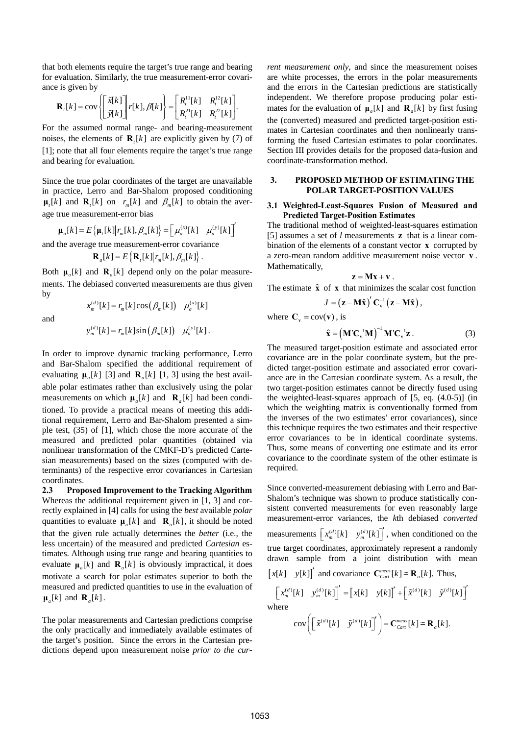that both elements require the target's true range and bearing for evaluation. Similarly, the true measurement-error covariance is given by

$$
\mathbf{R}_t[k] = \text{cov}\left\{\begin{bmatrix} \tilde{x}[k] \\ \tilde{y}[k] \end{bmatrix} r[k], \beta[k] \right\} = \begin{bmatrix} R_t^{11}[k] & R_t^{12}[k] \\ R_t^{21}[k] & R_t^{22}[k] \end{bmatrix}.
$$

For the assumed normal range- and bearing-measurement noises, the elements of  $\mathbf{R}_t[k]$  are explicitly given by (7) of [1]; note that all four elements require the target's true range and bearing for evaluation.

Since the true polar coordinates of the target are unavailable in practice, Lerro and Bar-Shalom proposed conditioning  $\mu_{\iota}[k]$  and  $\mathbf{R}_{\iota}[k]$  on  $r_m[k]$  and  $\beta_m[k]$  to obtain the average true measurement-error bias

$$
\boldsymbol{\mu}_a[k] = E\left\{\boldsymbol{\mu}_t[k]\big| \boldsymbol{r}_m[k], \boldsymbol{\beta}_m[k]\right\} = \left[\mu_a^{(x)}[k] - \mu_a^{(y)}[k]\right]'
$$

and the average true measurement-error covariance

$$
\mathbf{R}_{a}[k] = E\left\{\mathbf{R}_{t}[k]\big| r_{m}[k], \beta_{m}[k]\right\}.
$$

Both  $\mu_a[k]$  and  $\mathbf{R}_a[k]$  depend only on the polar measurements. The debiased converted measurements are thus given by

and

$$
x_m^{(d)}[k] = r_m[k] \cos(\beta_m[k]) - \mu_a^{(x)}[k]
$$

$$
y_m^{(d)}[k] = r_m[k] \sin (\beta_m[k]) - \mu_a^{(y)}[k].
$$

In order to improve dynamic tracking performance, Lerro and Bar-Shalom specified the additional requirement of evaluating  $\mu_a[k]$  [3] and  $\mathbf{R}_a[k]$  [1, 3] using the best available polar estimates rather than exclusively using the polar measurements on which  $\mu_a[k]$  and  $\mathbf{R}_a[k]$  had been conditioned. To provide a practical means of meeting this additional requirement, Lerro and Bar-Shalom presented a simple test, (35) of [1], which chose the more accurate of the measured and predicted polar quantities (obtained via nonlinear transformation of the CMKF-D's predicted Cartesian measurements) based on the sizes (computed with determinants) of the respective error covariances in Cartesian coordinates.

**2.3 Proposed Improvement to the Tracking Algorithm**  Whereas the additional requirement given in [1, 3] and correctly explained in [4] calls for using the *best* available *polar* quantities to evaluate  $\mu_a[k]$  and  $\mathbf{R}_a[k]$ , it should be noted that the given rule actually determines the *better* (i.e., the less uncertain) of the measured and predicted *Cartesian* estimates. Although using true range and bearing quantities to evaluate  $\mu_a[k]$  and  $\mathbf{R}_a[k]$  is obviously impractical, it does motivate a search for polar estimates superior to both the measured and predicted quantities to use in the evaluation of  $\mu_a[k]$  and  $\mathbf{R}_a[k]$ .

The polar measurements and Cartesian predictions comprise the only practically and immediately available estimates of the target's position. Since the errors in the Cartesian predictions depend upon measurement noise *prior to the cur-* *rent measurement only*, and since the measurement noises are white processes, the errors in the polar measurements and the errors in the Cartesian predictions are statistically independent. We therefore propose producing polar estimates for the evaluation of  $\mu_a[k]$  and  $\mathbf{R}_a[k]$  by first fusing the (converted) measured and predicted target-position estimates in Cartesian coordinates and then nonlinearly transforming the fused Cartesian estimates to polar coordinates. Section III provides details for the proposed data-fusion and coordinate-transformation method.

#### **3. PROPOSED METHOD OF ESTIMATING THE POLAR TARGET-POSITION VALUES**

#### **3.1 Weighted-Least-Squares Fusion of Measured and Predicted Target-Position Estimates**

The traditional method of weighted-least-squares estimation [5] assumes a set of  $l$  measurements  $\bf{z}$  that is a linear combination of the elements of a constant vector  $x$  corrupted by a zero-mean random additive measurement noise vector v. Mathematically,

$$
z = Mx + v.
$$

The estimate  $\hat{x}$  of  $x$  that minimizes the scalar cost function

$$
J = (\mathbf{z} - \mathbf{M}\hat{\mathbf{x}})' \mathbf{C}_{\mathbf{v}}^{-1} (\mathbf{z} - \mathbf{M}\hat{\mathbf{x}}),
$$

where  $C_v = cov(v)$ , is

$$
\hat{\mathbf{x}} = \left(\mathbf{M}'\mathbf{C}_{\mathbf{v}}^{-1}\mathbf{M}\right)^{-1}\mathbf{M}'\mathbf{C}_{\mathbf{v}}^{-1}\mathbf{z}.
$$
 (3)

The measured target-position estimate and associated error covariance are in the polar coordinate system, but the predicted target-position estimate and associated error covariance are in the Cartesian coordinate system. As a result, the two target-position estimates cannot be directly fused using the weighted-least-squares approach of [5, eq. (4.0-5)] (in which the weighting matrix is conventionally formed from the inverses of the two estimates' error covariances), since this technique requires the two estimates and their respective error covariances to be in identical coordinate systems. Thus, some means of converting one estimate and its error covariance to the coordinate system of the other estimate is required.

Since converted-measurement debiasing with Lerro and Bar-Shalom's technique was shown to produce statistically consistent converted measurements for even reasonably large measurement-error variances, the *k*th debiased *converted* measurements  $\left[x_m^{(d)}[k] \quad y_m^{(d)}[k]\right]$ , when conditioned on the true target coordinates, approximately represent a randomly drawn sample from a joint distribution with mean

 $[x[k]$   $[y[k]]'$  and covariance  $\mathbf{C}_{\text{Cart}}^{\text{meas}}[k] \cong \mathbf{R}_a[k]$ . Thus,

$$
\begin{bmatrix} x_m^{(d)}[k] & y_m^{(d)}[k] \end{bmatrix}' = \begin{bmatrix} x[k] & y[k] \end{bmatrix}' + \begin{bmatrix} \tilde{x}^{(d)}[k] & \tilde{y}^{(d)}[k] \end{bmatrix}'
$$
 where

$$
\operatorname{cov}\bigg(\bigg[\tilde{x}^{(d)}[k] - \tilde{y}^{(d)}[k]\bigg]'\bigg) = \mathbf{C}_{\text{Car}}^{\text{meas}}[k] \cong \mathbf{R}_a[k].
$$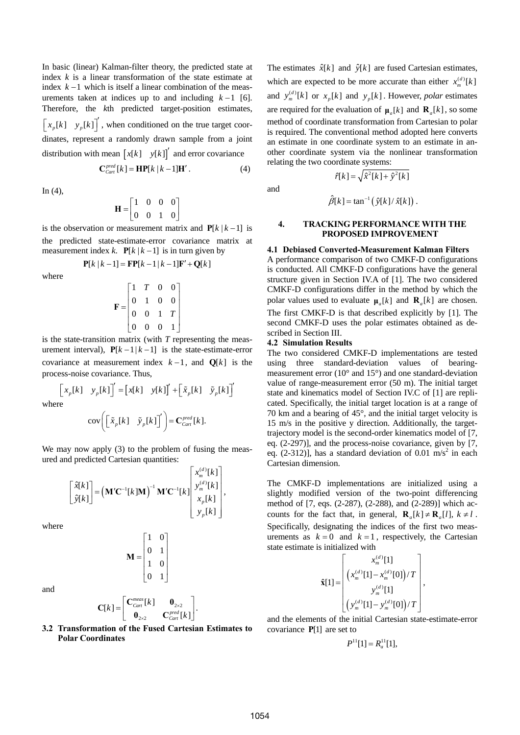In basic (linear) Kalman-filter theory, the predicted state at index *k* is a linear transformation of the state estimate at index  $k-1$  which is itself a linear combination of the measurements taken at indices up to and including  $k-1$  [6]. Therefore, the *k*th predicted target-position estimates,  $\left[ x_p[k] \quad y_p[k] \right]'$ , when conditioned on the true target coordistribution with mean  $\begin{bmatrix} x[k] & y[k] \end{bmatrix}$  and error covariance dinates, represent a randomly drawn sample from a joint

$$
\mathbf{C}_{\text{Cart}}^{\text{pred}}[k] = \mathbf{H} \mathbf{P}[k \mid k-1] \mathbf{H}'.
$$
 (4)

In  $(4)$ ,

$$
\mathbf{H} = \begin{bmatrix} 1 & 0 & 0 & 0 \\ 0 & 0 & 1 & 0 \end{bmatrix}
$$

is the observation or measurement matrix and  $P[k | k - 1]$  is the predicted state-estimate-error covariance matrix at measurement index *k*.  $P[k | k-1]$  is in turn given by

$$
P[k | k - 1] = FP[k - 1 | k - 1]F' + Q[k]
$$

where

$$
\mathbf{F} = \begin{bmatrix} 1 & T & 0 & 0 \\ 0 & 1 & 0 & 0 \\ 0 & 0 & 1 & T \\ 0 & 0 & 0 & 1 \end{bmatrix}
$$

is the state-transition matrix (with *T* representing the measurement interval),  $P[k-1|k-1]$  is the state-estimate-error covariance at measurement index  $k-1$ , and  $Q[k]$  is the process-noise covariance. Thus,

$$
\begin{bmatrix} x_p[k] & y_p[k] \end{bmatrix}' = \begin{bmatrix} x[k] & y[k] \end{bmatrix}' + \begin{bmatrix} \tilde{x}_p[k] & \tilde{y}_p[k] \end{bmatrix}'
$$

wh

$$
\text{cov}\bigg(\big[\tilde{x}_p[k] \quad \tilde{y}_p[k]\big]'\bigg) = \mathbf{C}_{\text{Cart}}^{\text{pred}}[k].
$$

We may now apply (3) to the problem of fusing the measured and predicted Cartesian quantities:

$$
\begin{bmatrix} \hat{x}[k] \\ \hat{y}[k] \end{bmatrix} = (\mathbf{M}'\mathbf{C}^{-1}[k]\mathbf{M})^{-1} \mathbf{M}'\mathbf{C}^{-1}[k] \begin{bmatrix} x_m^{(d)}[k] \\ y_m^{(d)}[k] \\ x_p[k] \\ y_p[k] \end{bmatrix},
$$

where

$$
\mathbf{M} = \begin{bmatrix} 1 & 0 \\ 0 & 1 \\ 1 & 0 \\ 0 & 1 \end{bmatrix}
$$

and

$$
\mathbf{C}[k] = \begin{bmatrix} \mathbf{C}_{\text{car}}^{\text{meas}}[k] & \mathbf{0}_{2\times 2} \\ \mathbf{0}_{2\times 2} & \mathbf{C}_{\text{Carf}}^{\text{pred}}[k] \end{bmatrix}.
$$

**3.2 Transformation of the Fused Cartesian Estimates to Polar Coordinates** 

The estimates  $\hat{x}[k]$  and  $\hat{y}[k]$  are fused Cartesian estimates, which are expected to be more accurate than either  $x_m^{(d)}[k]$ and  $y_m^{(d)}[k]$  or  $x_p[k]$  and  $y_p[k]$ . However, *polar* estimates are required for the evaluation of  $\mu_a[k]$  and  $\mathbf{R}_a[k]$ , so some method of coordinate transformation from Cartesian to polar is required. The conventional method adopted here converts an estimate in one coordinate system to an estimate in another coordinate system via the nonlinear transformation relating the two coordinate systems:

and

$$
\hat{\beta}[k] = \tan^{-1}(\hat{y}[k]/\hat{x}[k]).
$$

 $\hat{r}[k] = \sqrt{\hat{x}^2[k] + \hat{y}^2[k]}$ 

#### **4. TRACKING PERFORMANCE WITH THE PROPOSED IMPROVEMENT**

#### **4.1 Debiased Converted-Measurement Kalman Filters**

A performance comparison of two CMKF-D configurations is conducted. All CMKF-D configurations have the general structure given in Section IV.A of [1]. The two considered CMKF-D configurations differ in the method by which the polar values used to evaluate  $\mu_a[k]$  and  $\mathbf{R}_a[k]$  are chosen. The first CMKF-D is that described explicitly by [1]. The second CMKF-D uses the polar estimates obtained as described in Section III.

#### **4.2 Simulation Results**

The two considered CMKF-D implementations are tested using three standard-deviation values of bearingmeasurement error (10° and 15°) and one standard-deviation value of range-measurement error (50 m). The initial target state and kinematics model of Section IV.C of [1] are replicated. Specifically, the initial target location is at a range of 70 km and a bearing of 45°, and the initial target velocity is 15 m/s in the positive y direction. Additionally, the targettrajectory model is the second-order kinematics model of [7, eq. (2-297)], and the process-noise covariance, given by [7, eq.  $(2-312)$ ], has a standard deviation of 0.01 m/s<sup>2</sup> in each Cartesian dimension.

counts for the fact that, in general,  $\mathbf{R}_a[k] \neq \mathbf{R}_a[l]$ ,  $k \neq l$ . The CMKF-D implementations are initialized using a slightly modified version of the two-point differencing method of [7, eqs. (2-287), (2-288), and (2-289)] which ac-Specifically, designating the indices of the first two measurements as  $k = 0$  and  $k = 1$ , respectively, the Cartesian state estimate is initialized with

$$
\hat{\mathbf{x}}[1] = \begin{bmatrix} x_m^{(d)}[1] \\ \left( x_m^{(d)}[1] - x_m^{(d)}[0] \right) / T \\ y_m^{(d)}[1] \\ \left( y_m^{(d)}[1] - y_m^{(d)}[0] \right) / T \end{bmatrix},
$$

and the elements of the initial Cartesian state-estimate-error covariance **P**[1] are set to

$$
P^{11}[1] = R_a^{11}[1],
$$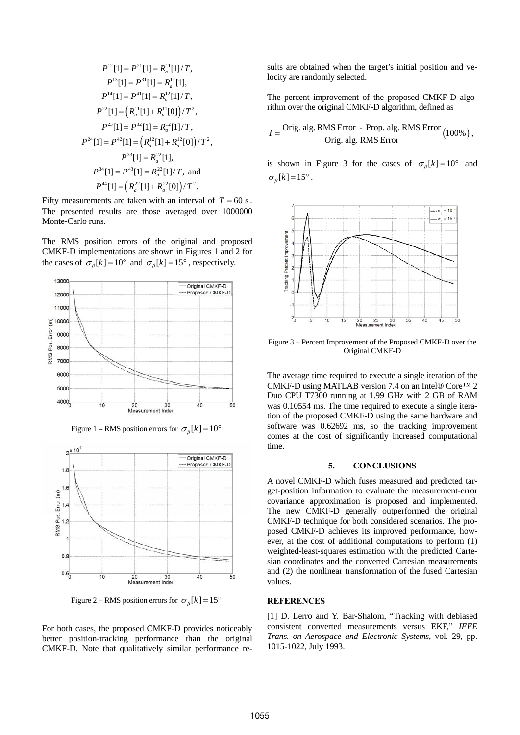$$
P^{12}[1] = P^{21}[1] = R_a^{11}[1]/T,
$$
  
\n
$$
P^{13}[1] = P^{31}[1] = R_a^{12}[1],
$$
  
\n
$$
P^{14}[1] = P^{41}[1] = R_a^{12}[1]/T,
$$
  
\n
$$
P^{22}[1] = (R_a^{11}[1] + R_a^{11}[0])/T^2,
$$
  
\n
$$
P^{23}[1] = P^{32}[1] = R_a^{12}[1]/T,
$$
  
\n
$$
P^{24}[1] = P^{42}[1] = (R_a^{12}[1] + R_a^{12}[0])/T^2,
$$
  
\n
$$
P^{33}[1] = R_a^{22}[1],
$$
  
\n
$$
P^{34}[1] = P^{43}[1] = R_a^{22}[1]/T,
$$
 and  
\n
$$
P^{44}[1] = (R_a^{22}[1] + R_a^{22}[0])/T^2.
$$

Fifty measurements are taken with an interval of  $T = 60$  s. The presented results are those averaged over 1000000 Monte-Carlo runs.

The RMS position errors of the original and proposed CMKF-D implementations are shown in Figures 1 and 2 for the cases of  $\sigma_{\beta}[k] = 10^{\circ}$  and  $\sigma_{\beta}[k] = 15^{\circ}$ , respectively.



Figure 1 – RMS position errors for  $\sigma_{\beta}[k] = 10^{\circ}$ 



Figure 2 – RMS position errors for  $\sigma_{\beta}[k] = 15^{\circ}$ 

For both cases, the proposed CMKF-D provides noticeably better position-tracking performance than the original CMKF-D. Note that qualitatively similar performance results are obtained when the target's initial position and velocity are randomly selected.

The percent improvement of the proposed CMKF-D algorithm over the original CMKF-D algorithm, defined as

$$
I = \frac{\text{Orig. alg. RMS Error - Prop. alg. RMS Error}}{\text{Orig. alg. RMS Error}} (100\%),
$$

is shown in Figure 3 for the cases of  $\sigma_{\beta}[k] = 10^{\circ}$  and  $\sigma_{\scriptscriptstyle R}[k] = 15^{\circ}$ .



Figure 3 – Percent Improvement of the Proposed CMKF-D over the Original CMKF-D

The average time required to execute a single iteration of the CMKF-D using MATLAB version 7.4 on an Intel® Core™ 2 Duo CPU T7300 running at 1.99 GHz with 2 GB of RAM was 0.10554 ms. The time required to execute a single iteration of the proposed CMKF-D using the same hardware and software was 0.62692 ms, so the tracking improvement comes at the cost of significantly increased computational time.

#### **5. CONCLUSIONS**

A novel CMKF-D which fuses measured and predicted target-position information to evaluate the measurement-error covariance approximation is proposed and implemented. The new CMKF-D generally outperformed the original CMKF-D technique for both considered scenarios. The proposed CMKF-D achieves its improved performance, however, at the cost of additional computations to perform (1) weighted-least-squares estimation with the predicted Cartesian coordinates and the converted Cartesian measurements and (2) the nonlinear transformation of the fused Cartesian values.

## **REFERENCES**

[1] D. Lerro and Y. Bar-Shalom, "Tracking with debiased consistent converted measurements versus EKF," *IEEE Trans. on Aerospace and Electronic Systems*, vol. 29, pp. 1015-1022, July 1993.